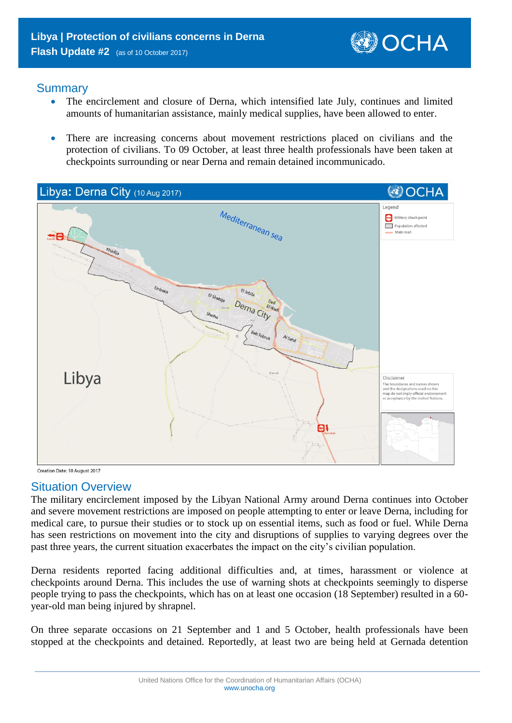## **Summary**

- The encirclement and closure of Derna, which intensified late July, continues and limited amounts of humanitarian assistance, mainly medical supplies, have been allowed to enter.
- There are increasing concerns about movement restrictions placed on civilians and the protection of civilians. To 09 October, at least three health professionals have been taken at checkpoints surrounding or near Derna and remain detained incommunicado.



Creation Date: 10 August 2017

## Situation Overview

The military encirclement imposed by the Libyan National Army around Derna continues into October and severe movement restrictions are imposed on people attempting to enter or leave Derna, including for medical care, to pursue their studies or to stock up on essential items, such as food or fuel. While Derna has seen restrictions on movement into the city and disruptions of supplies to varying degrees over the past three years, the current situation exacerbates the impact on the city's civilian population.

Derna residents reported facing additional difficulties and, at times, harassment or violence at checkpoints around Derna. This includes the use of warning shots at checkpoints seemingly to disperse people trying to pass the checkpoints, which has on at least one occasion (18 September) resulted in a 60 year-old man being injured by shrapnel.

On three separate occasions on 21 September and 1 and 5 October, health professionals have been stopped at the checkpoints and detained. Reportedly, at least two are being held at Gernada detention